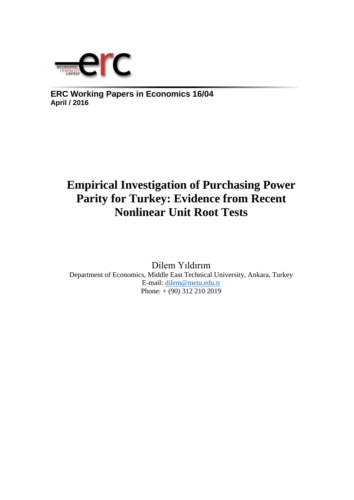

**ERC Working Papers in Economics 16/04 April / 2016**

# **Empirical Investigation of Purchasing Power Parity for Turkey: Evidence from Recent Nonlinear Unit Root Tests**

Dilem Yıldırım Department of Economics, Middle East Technical University, Ankara, Turkey E-mail: [dilem@metu.edu.tr](mailto:dilem@metu.edu.tr)  Phone: + (90) 312 210 2019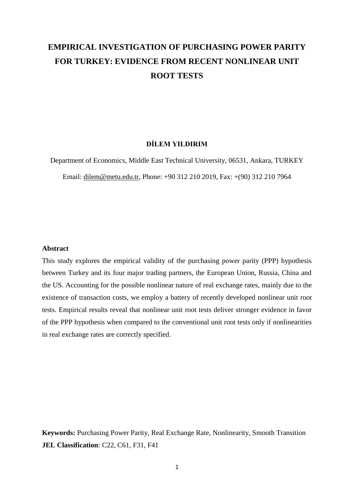# **EMPIRICAL INVESTIGATION OF PURCHASING POWER PARITY FOR TURKEY: EVIDENCE FROM RECENT NONLINEAR UNIT ROOT TESTS**

# **DİLEM YILDIRIM**

Department of Economics, Middle East Technical University, 06531, Ankara, TURKEY Email: [dilem@metu.edu.tr,](mailto:dilem@metu.edu.tr) Phone: +90 312 210 2019, Fax: +(90) 312 210 7964

#### **Abstract**

This study explores the empirical validity of the purchasing power parity (PPP) hypothesis between Turkey and its four major trading partners, the European Union, Russia, China and the US. Accounting for the possible nonlinear nature of real exchange rates, mainly due to the existence of transaction costs, we employ a battery of recently developed nonlinear unit root tests. Empirical results reveal that nonlinear unit root tests deliver stronger evidence in favor of the PPP hypothesis when compared to the conventional unit root tests only if nonlinearities in real exchange rates are correctly specified.

**Keywords:** Purchasing Power Parity, Real Exchange Rate, Nonlinearity, Smooth Transition **JEL Classification**: C22, C61, F31, F41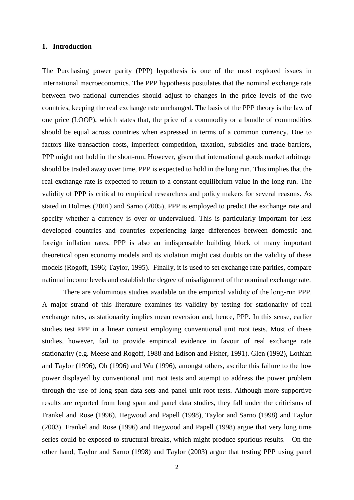# **1. Introduction**

The Purchasing power parity (PPP) hypothesis is one of the most explored issues in international macroeconomics. The PPP hypothesis postulates that the nominal exchange rate between two national currencies should adjust to changes in the price levels of the two countries, keeping the real exchange rate unchanged. The basis of the PPP theory is the law of one price (LOOP), which states that, the price of a commodity or a bundle of commodities should be equal across countries when expressed in terms of a common currency. Due to factors like transaction costs, imperfect competition, taxation, subsidies and trade barriers, PPP might not hold in the short-run. However, given that international goods market arbitrage should be traded away over time, PPP is expected to hold in the long run. This implies that the real exchange rate is expected to return to a constant equilibrium value in the long run. The validity of PPP is critical to empirical researchers and policy makers for several reasons. As stated in Holmes (2001) and Sarno (2005), PPP is employed to predict the exchange rate and specify whether a currency is over or undervalued. This is particularly important for less developed countries and countries experiencing large differences between domestic and foreign inflation rates. PPP is also an indispensable building block of many important theoretical open economy models and its violation might cast doubts on the validity of these models (Rogoff, 1996; Taylor, 1995). Finally, it is used to set exchange rate parities, compare national income levels and establish the degree of misalignment of the nominal exchange rate.

There are voluminous studies available on the empirical validity of the long-run PPP. A major strand of this literature examines its validity by testing for stationarity of real exchange rates, as stationarity implies mean reversion and, hence, PPP. In this sense, earlier studies test PPP in a linear context employing conventional unit root tests. Most of these studies, however, fail to provide empirical evidence in favour of real exchange rate stationarity (e.g. Meese and Rogoff, 1988 and Edison and Fisher, 1991). Glen (1992), Lothian and Taylor (1996), Oh (1996) and Wu (1996), amongst others, ascribe this failure to the low power displayed by conventional unit root tests and attempt to address the power problem through the use of long span data sets and panel unit root tests. Although more supportive results are reported from long span and panel data studies, they fall under the criticisms of Frankel and Rose (1996), Hegwood and Papell (1998), Taylor and Sarno (1998) and Taylor (2003). Frankel and Rose (1996) and Hegwood and Papell (1998) argue that very long time series could be exposed to structural breaks, which might produce spurious results. On the other hand, Taylor and Sarno (1998) and Taylor (2003) argue that testing PPP using panel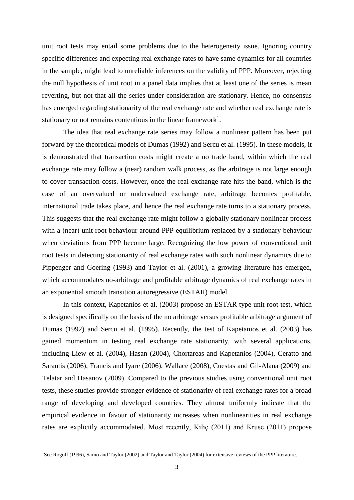unit root tests may entail some problems due to the heterogeneity issue. Ignoring country specific differences and expecting real exchange rates to have same dynamics for all countries in the sample, might lead to unreliable inferences on the validity of PPP. Moreover, rejecting the null hypothesis of unit root in a panel data implies that at least one of the series is mean reverting, but not that all the series under consideration are stationary. Hence, no consensus has emerged regarding stationarity of the real exchange rate and whether real exchange rate is stationary or not remains contentious in the linear framework<sup>1</sup>.

The idea that real exchange rate series may follow a nonlinear pattern has been put forward by the theoretical models of Dumas (1992) and Sercu et al. (1995). In these models, it is demonstrated that transaction costs might create a no trade band, within which the real exchange rate may follow a (near) random walk process, as the arbitrage is not large enough to cover transaction costs. However, once the real exchange rate hits the band, which is the case of an overvalued or undervalued exchange rate, arbitrage becomes profitable, international trade takes place, and hence the real exchange rate turns to a stationary process. This suggests that the real exchange rate might follow a globally stationary nonlinear process with a (near) unit root behaviour around PPP equilibrium replaced by a stationary behaviour when deviations from PPP become large. Recognizing the low power of conventional unit root tests in detecting stationarity of real exchange rates with such nonlinear dynamics due to Pippenger and Goering (1993) and Taylor et al. (2001), a growing literature has emerged, which accommodates no-arbitrage and profitable arbitrage dynamics of real exchange rates in an exponential smooth transition autoregressive (ESTAR) model.

In this context, Kapetanios et al. (2003) propose an ESTAR type unit root test, which is designed specifically on the basis of the no arbitrage versus profitable arbitrage argument of Dumas (1992) and Sercu et al. (1995). Recently, the test of Kapetanios et al. (2003) has gained momentum in testing real exchange rate stationarity, with several applications, including Liew et al. (2004), Hasan (2004), Chortareas and Kapetanios (2004), Ceratto and Sarantis (2006), Francis and Iyare (2006), Wallace (2008), Cuestas and Gil-Alana (2009) and Telatar and Hasanov (2009). Compared to the previous studies using conventional unit root tests, these studies provide stronger evidence of stationarity of real exchange rates for a broad range of developing and developed countries. They almost uniformly indicate that the empirical evidence in favour of stationarity increases when nonlinearities in real exchange rates are explicitly accommodated. Most recently, Kılıç (2011) and Kruse (2011) propose

<sup>&</sup>lt;sup>1</sup>See Rogoff (1996), Sarno and Taylor (2002) and Taylor and Taylor (2004) for extensive reviews of the PPP literature.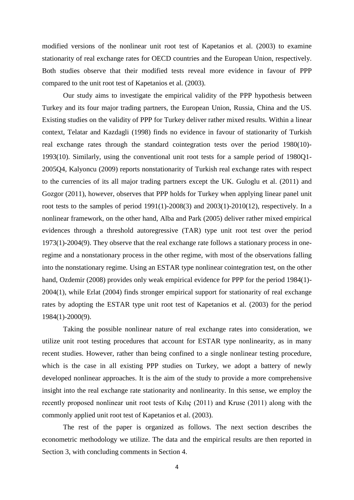modified versions of the nonlinear unit root test of Kapetanios et al. (2003) to examine stationarity of real exchange rates for OECD countries and the European Union, respectively. Both studies observe that their modified tests reveal more evidence in favour of PPP compared to the unit root test of Kapetanios et al. (2003).

Our study aims to investigate the empirical validity of the PPP hypothesis between Turkey and its four major trading partners, the European Union, Russia, China and the US. Existing studies on the validity of PPP for Turkey deliver rather mixed results. Within a linear context, Telatar and Kazdagli (1998) finds no evidence in favour of stationarity of Turkish real exchange rates through the standard cointegration tests over the period 1980(10)- 1993(10). Similarly, using the conventional unit root tests for a sample period of 1980Q1- 2005Q4, Kalyoncu (2009) reports nonstationarity of Turkish real exchange rates with respect to the currencies of its all major trading partners except the UK. Guloglu et al. (2011) and Gozgor (2011), however, observes that PPP holds for Turkey when applying linear panel unit root tests to the samples of period  $1991(1)$ -2008(3) and  $2003(1)$ -2010(12), respectively. In a nonlinear framework, on the other hand, Alba and Park (2005) deliver rather mixed empirical evidences through a threshold autoregressive (TAR) type unit root test over the period 1973(1)-2004(9). They observe that the real exchange rate follows a stationary process in oneregime and a nonstationary process in the other regime, with most of the observations falling into the nonstationary regime. Using an ESTAR type nonlinear cointegration test, on the other hand, Ozdemir (2008) provides only weak empirical evidence for PPP for the period 1984(1)-2004(1), while Erlat (2004) finds stronger empirical support for stationarity of real exchange rates by adopting the ESTAR type unit root test of Kapetanios et al. (2003) for the period 1984(1)-2000(9).

Taking the possible nonlinear nature of real exchange rates into consideration, we utilize unit root testing procedures that account for ESTAR type nonlinearity, as in many recent studies. However, rather than being confined to a single nonlinear testing procedure, which is the case in all existing PPP studies on Turkey, we adopt a battery of newly developed nonlinear approaches. It is the aim of the study to provide a more comprehensive insight into the real exchange rate stationarity and nonlinearity. In this sense, we employ the recently proposed nonlinear unit root tests of Kılıç (2011) and Kruse (2011) along with the commonly applied unit root test of Kapetanios et al. (2003).

The rest of the paper is organized as follows. The next section describes the econometric methodology we utilize. The data and the empirical results are then reported in Section 3, with concluding comments in Section 4.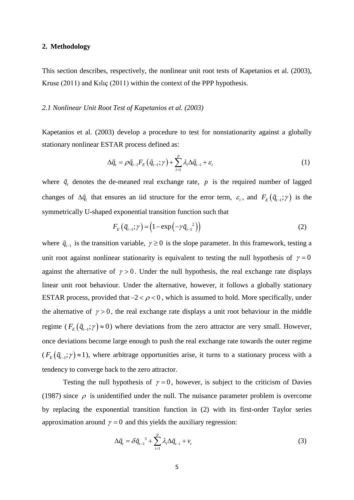# **2. Methodology**

This section describes, respectively, the nonlinear unit root tests of Kapetanios et al. (2003), Kruse (2011) and Kılıç (2011) within the context of the PPP hypothesis.

# *2.1 Nonlinear Unit Root Test of Kapetanios et al. (2003)*

Kapetanios et al. (2003) develop a procedure to test for nonstationarity against a globally stationary nonlinear ESTAR process defined as:

$$
\Delta \tilde{q}_t = \rho \tilde{q}_{t-1} F_E \left( \tilde{q}_{t-1}; \gamma \right) + \sum_{i=1}^p \lambda_i \Delta \tilde{q}_{t-i} + \varepsilon_t \tag{1}
$$

where  $\tilde{q}_t$  denotes the de-meaned real exchange rate, p is the required number of lagged changes of  $\Delta \tilde{q}$ , that ensures an iid structure for the error term,  $\varepsilon$ , and  $F_E(\tilde{q}_{t-1};\gamma)$  is the symmetrically U-shaped exponential transition function such that

$$
F_E(\tilde{q}_{t-1};\gamma) = \left(1 - \exp\left(-\gamma \tilde{q}_{t-1}\right)\right)
$$
 (2)

where  $\tilde{q}_{t-1}$  is the transition variable,  $\gamma \ge 0$  is the slope parameter. In this framework, testing a unit root against nonlinear stationarity is equivalent to testing the null hypothesis of  $\gamma = 0$ against the alternative of  $\gamma > 0$ . Under the null hypothesis, the real exchange rate displays linear unit root behaviour. Under the alternative, however, it follows a globally stationary ESTAR process, provided that  $-2 < \rho < 0$ , which is assumed to hold. More specifically, under the alternative of  $\gamma > 0$ , the real exchange rate displays a unit root behaviour in the middle regime ( $F_E(\tilde{q}_{t-1};\gamma) \approx 0$ ) where deviations from the zero attractor are very small. However, once deviations become large enough to push the real exchange rate towards the outer regime  $(F_E(\tilde{q}_{t-1};\gamma) \approx 1)$ , where arbitrage opportunities arise, it turns to a stationary process with a tendency to converge back to the zero attractor.

Testing the null hypothesis of  $\gamma = 0$ , however, is subject to the criticism of Davies (1987) since  $\rho$  is unidentified under the null. The nuisance parameter problem is overcome by replacing the exponential transition function in (2) with its first-order Taylor series approximation around  $\gamma = 0$  and this yields the auxiliary regression:

$$
\Delta \tilde{q}_t = \delta \tilde{q}_{t-1}^3 + \sum_{i=1}^p \lambda_i \Delta \tilde{q}_{t-i} + v_t \tag{3}
$$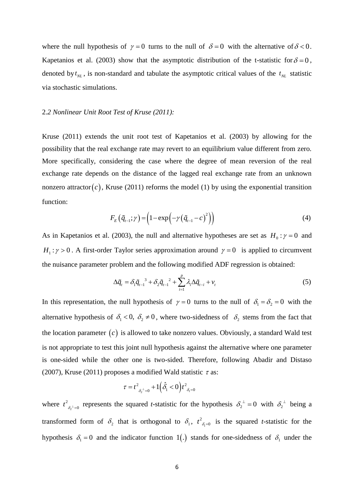where the null hypothesis of  $\gamma = 0$  turns to the null of  $\delta = 0$  with the alternative of  $\delta < 0$ . Kapetanios et al. (2003) show that the asymptotic distribution of the t-statistic for  $\delta = 0$ , denoted by  $t_{NL}$ , is non-standard and tabulate the asymptotic critical values of the  $t_{NL}$  statistic via stochastic simulations.

#### 2.*2 Nonlinear Unit Root Test of Kruse (2011):*

Kruse (2011) extends the unit root test of Kapetanios et al. (2003) by allowing for the possibility that the real exchange rate may revert to an equilibrium value different from zero. More specifically, considering the case where the degree of mean reversion of the real exchange rate depends on the distance of the lagged real exchange rate from an unknown nonzero attractor $(c)$ , Kruse (2011) reforms the model (1) by using the exponential transition function:

$$
F_E(\tilde{q}_{t-1};\gamma) = \left(1 - \exp\left(-\gamma(\tilde{q}_{t-1} - c)^2\right)\right)
$$
\n(4)

As in Kapetanios et al. (2003), the null and alternative hypotheses are set as  $H_0: \gamma = 0$  and  $H_1$ :  $\gamma > 0$ . A first-order Taylor series approximation around  $\gamma = 0$  is applied to circumvent the nuisance parameter problem and the following modified ADF regression is obtained:

$$
\Delta \tilde{q}_t = \delta_1 \tilde{q}_{t-1}^3 + \delta_2 \tilde{q}_{t-1}^2 + \sum_{i=1}^p \lambda_i \Delta \tilde{q}_{t-i} + v_t
$$
\n<sup>(5)</sup>

In this representation, the null hypothesis of  $\gamma = 0$  turns to the null of  $\delta_1 = \delta_2 = 0$  with the alternative hypothesis of  $\delta_1 < 0$ ,  $\delta_2 \neq 0$ , where two-sidedness of  $\delta_2$  stems from the fact that the location parameter  $(c)$  is allowed to take nonzero values. Obviously, a standard Wald test is not appropriate to test this joint null hypothesis against the alternative where one parameter is one-sided while the other one is two-sided. Therefore, following Abadir and Distaso (2007), Kruse (2011) proposes a modified Wald statistic  $\tau$  as:

$$
\tau = t^2_{\delta_2^{-1}=0} + 1\Big(\hat{\delta_1} < 0\Big) t^2_{\delta_1=0}
$$

where  $t^2$ <sub> $\delta_2$ </sub> 2  $t^2_{\delta_2 t=0}$  represents the squared *t*-statistic for the hypothesis  $\delta_2^{-1} = 0$  with  $\delta_2^{-1}$  being a transformed form of  $\delta_2$  that is orthogonal to  $\delta_1$ ,  $t^2_{\delta_1}$ 2  $t^2_{\delta=0}$  is the squared *t*-statistic for the hypothesis  $\delta_1 = 0$  and the indicator function 1(.) stands for one-sidedness of  $\delta_1$  under the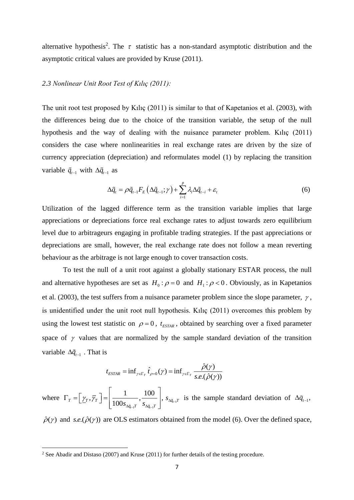alternative hypothesis<sup>2</sup>. The  $\tau$  statistic has a non-standard asymptotic distribution and the asymptotic critical values are provided by Kruse (2011).

# *2.3 Nonlinear Unit Root Test of Kılıç (2011):*

The unit root test proposed by Kılıç (2011) is similar to that of Kapetanios et al. (2003), with the differences being due to the choice of the transition variable, the setup of the null hypothesis and the way of dealing with the nuisance parameter problem. Kılıç (2011) considers the case where nonlinearities in real exchange rates are driven by the size of currency appreciation (depreciation) and reformulates model (1) by replacing the transition variable  $\tilde{q}_{t-1}$  with  $\Delta \tilde{q}_{t-1}$  as

$$
\Delta \tilde{q}_t = \rho \tilde{q}_{t-1} F_E \left( \Delta \tilde{q}_{t-1}; \gamma \right) + \sum_{i=1}^p \lambda_i \Delta \tilde{q}_{t-i} + \varepsilon_t \tag{6}
$$

Utilization of the lagged difference term as the transition variable implies that large appreciations or depreciations force real exchange rates to adjust towards zero equilibrium level due to arbitrageurs engaging in profitable trading strategies. If the past appreciations or depreciations are small, however, the real exchange rate does not follow a mean reverting behaviour as the arbitrage is not large enough to cover transaction costs.

To test the null of a unit root against a globally stationary ESTAR process, the null and alternative hypotheses are set as  $H_0$ :  $\rho = 0$  and  $H_1$ :  $\rho < 0$ . Obviously, as in Kapetanios et al. (2003), the test suffers from a nuisance parameter problem since the slope parameter,  $\gamma$ , is unidentified under the unit root null hypothesis. Kılıç (2011) overcomes this problem by using the lowest test statistic on  $\rho = 0$ ,  $t_{ESTAR}$ , obtained by searching over a fixed parameter space of  $\gamma$  values that are normalized by the sample standard deviation of the transition variable  $\Delta \tilde{q}_{t-1}$ . That is

$$
t_{ESTAR} = \inf_{\gamma \in \Gamma_T} \hat{t}_{\rho=0}(\gamma) = \inf_{\gamma \in \Gamma_T} \frac{\hat{\rho}(\gamma)}{s.e.(\hat{\rho}(\gamma))}
$$

where  $1'$   $\Delta q_{t-1}$ 1 100  $\left( \begin{array}{cc} 1.7 & 0.7 \\ 0.7 & 0.7 \\ 0.7 & 0.7 \\ 0.7 & 0.7 \\ 0.7 & 0.7 \\ 0.7 & 0.7 \\ 0.7 & 0.7 \\ 0.7 & 0.7 \\ 0.7 & 0.7 \\ 0.7 & 0.7 \\ 0.7 & 0.7 \\ 0.7 & 0.7 \\ 0.7 & 0.7 \\ 0.7 & 0.7 \\ 0.7 & 0.7 \\ 0.7 & 0.7 \\ 0.7 & 0.7 \\ 0.7 & 0.7 \\ 0.7 & 0.7 \\ 0.7 & 0.7 \\ 0.7 & 0.7 \\$  $T \quad \boxed{\textit{I T}^{\gamma}{}^{\gamma}{}^{\gamma}{}^{\gamma}}$  |  $100 s_{\Delta \tilde{q}_{t-1}T} \cdot s_{\Delta \tilde{q}_{t-1}T}$  $\gamma_{\tau},\gamma$  $\Delta \widetilde{q}_{t-1} T \quad \stackrel{\bullet}{\sim} \Delta \widetilde{q}_{t-1}$  $\begin{bmatrix} 1 & 100 \end{bmatrix}$  $\Gamma_T = \left[ \underline{\gamma}_T, \overline{\gamma}_T \right] = \left[ \frac{1}{100 s_{\Delta q_{t-1}T}}, \frac{100}{s_{\Delta q_{t-1}T}} \right], s_{\Delta q_{t-1}T}$  is the sample standard deviation of  $\Delta \tilde{q}_{t-1}$ ,

 $\hat{\rho}(\gamma)$  and s.e.  $(\hat{\rho}(\gamma))$  are OLS estimators obtained from the model (6). Over the defined space,

<sup>&</sup>lt;sup>2</sup> See Abadir and Distaso (2007) and Kruse (2011) for further details of the testing procedure.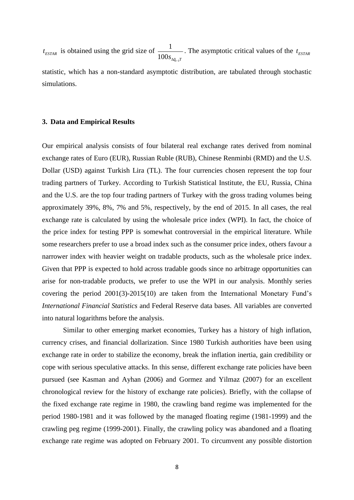$t_{ESTAR}$  is obtained using the grid size of  $\frac{1}{100}$  $100 s_{\Delta\tilde{q}_{t-1}T}$ *t* . The asymptotic critical values of the  $t_{ESTAR}$ statistic, which has a non-standard asymptotic distribution, are tabulated through stochastic simulations.

#### **3. Data and Empirical Results**

Our empirical analysis consists of four bilateral real exchange rates derived from nominal exchange rates of Euro (EUR), Russian Ruble (RUB), Chinese Renminbi (RMD) and the U.S. Dollar (USD) against Turkish Lira (TL). The four currencies chosen represent the top four trading partners of Turkey. According to Turkish Statistical Institute, the EU, Russia, China and the U.S. are the top four trading partners of Turkey with the gross trading volumes being approximately 39%, 8%, 7% and 5%, respectively, by the end of 2015. In all cases, the real exchange rate is calculated by using the wholesale price index (WPI). In fact, the choice of the price index for testing PPP is somewhat controversial in the empirical literature. While some researchers prefer to use a broad index such as the consumer price index, others favour a narrower index with heavier weight on tradable products, such as the wholesale price index. Given that PPP is expected to hold across tradable goods since no arbitrage opportunities can arise for non-tradable products, we prefer to use the WPI in our analysis. Monthly series covering the period 2001(3)-2015(10) are taken from the International Monetary Fund's *International Financial Statistics* and Federal Reserve data bases. All variables are converted into natural logarithms before the analysis.

Similar to other emerging market economies, Turkey has a history of high inflation, currency crises, and financial dollarization. Since 1980 Turkish authorities have been using exchange rate in order to stabilize the economy, break the inflation inertia, gain credibility or cope with serious speculative attacks. In this sense, different exchange rate policies have been pursued (see Kasman and Ayhan (2006) and Gormez and Yilmaz (2007) for an excellent chronological review for the history of exchange rate policies). Briefly, with the collapse of the fixed exchange rate regime in 1980, the crawling band regime was implemented for the period 1980-1981 and it was followed by the managed floating regime (1981-1999) and the crawling peg regime (1999-2001). Finally, the crawling policy was abandoned and a floating exchange rate regime was adopted on February 2001. To circumvent any possible distortion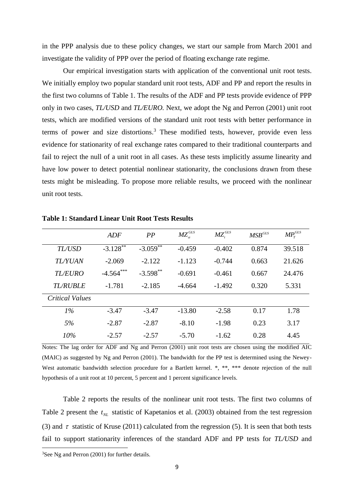in the PPP analysis due to these policy changes, we start our sample from March 2001 and investigate the validity of PPP over the period of floating exchange rate regime.

Our empirical investigation starts with application of the conventional unit root tests. We initially employ two popular standard unit root tests, ADF and PP and report the results in the first two columns of Table 1. The results of the ADF and PP tests provide evidence of PPP only in two cases, *TL/USD* and *TL/EURO.* Next, we adopt the Ng and Perron (2001) unit root tests, which are modified versions of the standard unit root tests with better performance in terms of power and size distortions.<sup>3</sup> These modified tests, however, provide even less evidence for stationarity of real exchange rates compared to their traditional counterparts and fail to reject the null of a unit root in all cases. As these tests implicitly assume linearity and have low power to detect potential nonlinear stationarity, the conclusions drawn from these tests might be misleading. To propose more reliable results, we proceed with the nonlinear unit root tests.

|                        | ADF                    | PP          | $MZ_{\alpha}^{GLS}$ | $MZ_{\cdot}^{GLS}$ | $MSB^{GLS}$ | $MP_{T}^{GLS}$ |
|------------------------|------------------------|-------------|---------------------|--------------------|-------------|----------------|
| TL/USD                 | $-3.128$ <sup>**</sup> | $-3.059***$ | $-0.459$            | $-0.402$           | 0.874       | 39.518         |
| <b>TLYUAN</b>          | $-2.069$               | $-2.122$    | $-1.123$            | $-0.744$           | 0.663       | 21.626         |
| <b>TL/EURO</b>         | $-4.564***$            | $-3.598$ ** | $-0.691$            | $-0.461$           | 0.667       | 24.476         |
| <b>TL/RUBLE</b>        | $-1.781$               | $-2.185$    | $-4.664$            | $-1.492$           | 0.320       | 5.331          |
| <b>Critical Values</b> |                        |             |                     |                    |             |                |
| $1\%$                  | $-3.47$                | $-3.47$     | $-13.80$            | $-2.58$            | 0.17        | 1.78           |
| 5%                     | $-2.87$                | $-2.87$     | $-8.10$             | $-1.98$            | 0.23        | 3.17           |
| 10%                    | $-2.57$                | $-2.57$     | $-5.70$             | $-1.62$            | 0.28        | 4.45           |

**Table 1: Standard Linear Unit Root Tests Results**

Notes: The lag order for ADF and Ng and Perron (2001) unit root tests are chosen using the modified AIC (MAIC) as suggested by Ng and Perron (2001). The bandwidth for the PP test is determined using the Newey-West automatic bandwidth selection procedure for a Bartlett kernel. \*, \*\*, \*\*\* denote rejection of the null hypothesis of a unit root at 10 percent, 5 percent and 1 percent significance levels.

Table 2 reports the results of the nonlinear unit root tests. The first two columns of Table 2 present the  $t_{NL}$  statistic of Kapetanios et al. (2003) obtained from the test regression (3) and  $\tau$  statistic of Kruse (2011) calculated from the regression (5). It is seen that both tests fail to support stationarity inferences of the standard ADF and PP tests for *TL/USD* and

<sup>&</sup>lt;sup>3</sup>See Ng and Perron (2001) for further details.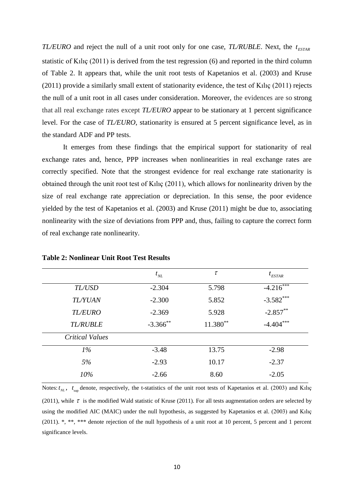*TL/EURO* and reject the null of a unit root only for one case, *TL/RUBLE*. Next, the  $t_{ESTAR}$ statistic of Kılıç (2011) is derived from the test regression (6) and reported in the third column of Table 2. It appears that, while the unit root tests of Kapetanios et al. (2003) and Kruse (2011) provide a similarly small extent of stationarity evidence, the test of Kılıç (2011) rejects the null of a unit root in all cases under consideration. Moreover, the evidences are so strong that all real exchange rates except *TL/EURO* appear to be stationary at 1 percent significance level. For the case of *TL/EURO*, stationarity is ensured at 5 percent significance level, as in the standard ADF and PP tests.

It emerges from these findings that the empirical support for stationarity of real exchange rates and, hence, PPP increases when nonlinearities in real exchange rates are correctly specified. Note that the strongest evidence for real exchange rate stationarity is obtained through the unit root test of Kılıç (2011), which allows for nonlinearity driven by the size of real exchange rate appreciation or depreciation. In this sense, the poor evidence yielded by the test of Kapetanios et al. (2003) and Kruse (2011) might be due to, associating nonlinearity with the size of deviations from PPP and, thus, failing to capture the correct form of real exchange rate nonlinearity.

|                        | $t_{NL}$    | $\tau$   | $t_{ESTAR}$ |
|------------------------|-------------|----------|-------------|
| TL/USD                 | $-2.304$    | 5.798    | $-4.216$    |
| <b>TLYUAN</b>          | $-2.300$    | 5.852    | $-3.582***$ |
| <b>TL/EURO</b>         | $-2.369$    | 5.928    | $-2.857***$ |
| <b>TL/RUBLE</b>        | $-3.366$ ** | 11.380** | $-4.404***$ |
| <b>Critical Values</b> |             |          |             |
| $1\%$                  | $-3.48$     | 13.75    | $-2.98$     |
| 5%                     | $-2.93$     | 10.17    | $-2.37$     |
| 10%                    | $-2.66$     | 8.60     | $-2.05$     |
|                        |             |          |             |

#### **Table 2: Nonlinear Unit Root Test Results**

Notes:  $t_{NL}$ ,  $t_{\text{sup}}$  denote, respectively, the t-statistics of the unit root tests of Kapetanios et al. (2003) and Kılıç (2011), while  $\tau$  is the modified Wald statistic of Kruse (2011). For all tests augmentation orders are selected by using the modified AIC (MAIC) under the null hypothesis, as suggested by Kapetanios et al. (2003) and Kılıç (2011). \*, \*\*, \*\*\* denote rejection of the null hypothesis of a unit root at 10 percent, 5 percent and 1 percent significance levels.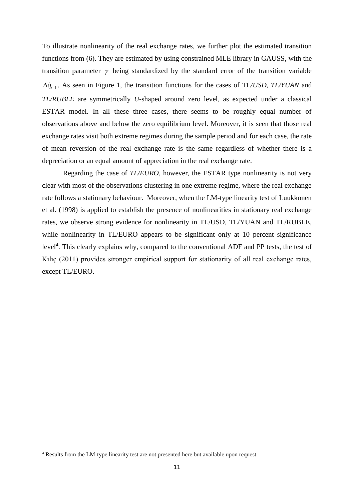To illustrate nonlinearity of the real exchange rates, we further plot the estimated transition functions from (6). They are estimated by using constrained MLE library in GAUSS, with the transition parameter  $\gamma$  being standardized by the standard error of the transition variable  $\Delta \tilde{q}_{t-1}$ . As seen in Figure 1, the transition functions for the cases of TL/USD, TL/YUAN and *TL/RUBLE* are symmetrically *U*-shaped around zero level, as expected under a classical ESTAR model. In all these three cases, there seems to be roughly equal number of observations above and below the zero equilibrium level. Moreover, it is seen that those real exchange rates visit both extreme regimes during the sample period and for each case, the rate of mean reversion of the real exchange rate is the same regardless of whether there is a depreciation or an equal amount of appreciation in the real exchange rate.

Regarding the case of *TL/EURO*, however, the ESTAR type nonlinearity is not very clear with most of the observations clustering in one extreme regime, where the real exchange rate follows a stationary behaviour. Moreover, when the LM-type linearity test of Luukkonen et al. (1998) is applied to establish the presence of nonlinearities in stationary real exchange rates, we observe strong evidence for nonlinearity in TL/USD, TL/YUAN and TL/RUBLE, while nonlinearity in TL/EURO appears to be significant only at 10 percent significance level<sup>4</sup>. This clearly explains why, compared to the conventional ADF and PP tests, the test of Kılıç (2011) provides stronger empirical support for stationarity of all real exchange rates, except TL/EURO.

<sup>&</sup>lt;sup>4</sup> Results from the LM-type linearity test are not presented here but available upon request.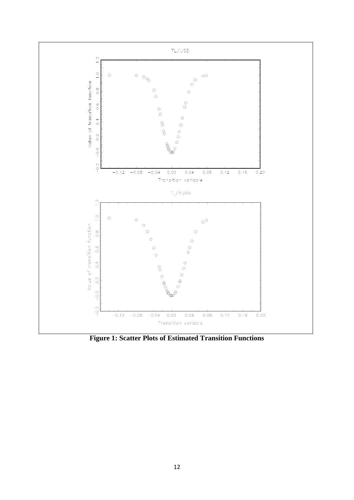

**Figure 1: Scatter Plots of Estimated Transition Functions**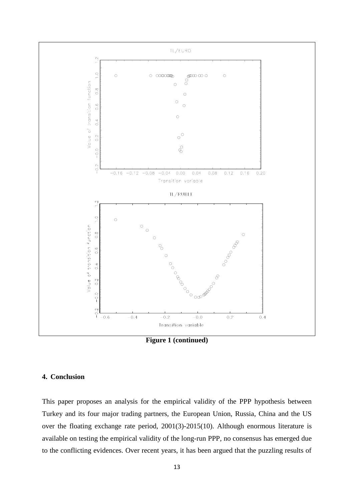

**Figure 1 (continued)**

# **4. Conclusion**

This paper proposes an analysis for the empirical validity of the PPP hypothesis between Turkey and its four major trading partners, the European Union, Russia, China and the US over the floating exchange rate period, 2001(3)-2015(10). Although enormous literature is available on testing the empirical validity of the long-run PPP, no consensus has emerged due to the conflicting evidences. Over recent years, it has been argued that the puzzling results of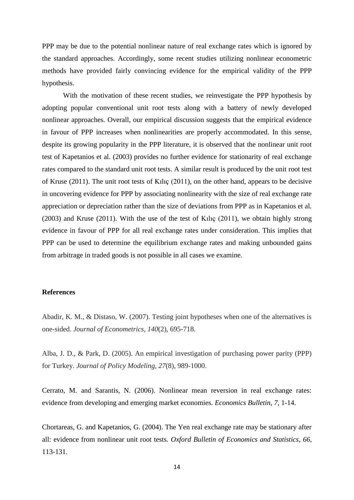PPP may be due to the potential nonlinear nature of real exchange rates which is ignored by the standard approaches. Accordingly, some recent studies utilizing nonlinear econometric methods have provided fairly convincing evidence for the empirical validity of the PPP hypothesis.

With the motivation of these recent studies, we reinvestigate the PPP hypothesis by adopting popular conventional unit root tests along with a battery of newly developed nonlinear approaches. Overall, our empirical discussion suggests that the empirical evidence in favour of PPP increases when nonlinearities are properly accommodated. In this sense, despite its growing popularity in the PPP literature, it is observed that the nonlinear unit root test of Kapetanios et al*.* (2003) provides no further evidence for stationarity of real exchange rates compared to the standard unit root tests. A similar result is produced by the unit root test of Kruse (2011). The unit root tests of Kılıç (2011), on the other hand, appears to be decisive in uncovering evidence for PPP by associating nonlinearity with the size of real exchange rate appreciation or depreciation rather than the size of deviations from PPP as in Kapetanios et al*.* (2003) and Kruse (2011). With the use of the test of Kılıç (2011), we obtain highly strong evidence in favour of PPP for all real exchange rates under consideration. This implies that PPP can be used to determine the equilibrium exchange rates and making unbounded gains from arbitrage in traded goods is not possible in all cases we examine.

# **References**

Abadir, K. M., & Distaso, W. (2007). Testing joint hypotheses when one of the alternatives is one-sided. *Journal of Econometrics*, *140*(2), 695-718.

Alba, J. D., & Park, D. (2005). An empirical investigation of purchasing power parity (PPP) for Turkey. *Journal of Policy Modeling*, *27*(8), 989-1000.

Cerrato, M. and Sarantis, N. (2006). Nonlinear mean reversion in real exchange rates: evidence from developing and emerging market economies. *Economics Bulletin*, *7*, 1-14.

Chortareas, G. and Kapetanios, G. (2004). The Yen real exchange rate may be stationary after all: evidence from nonlinear unit root tests. *Oxford Bulletin of Economics and Statistics*, *66*, 113-131.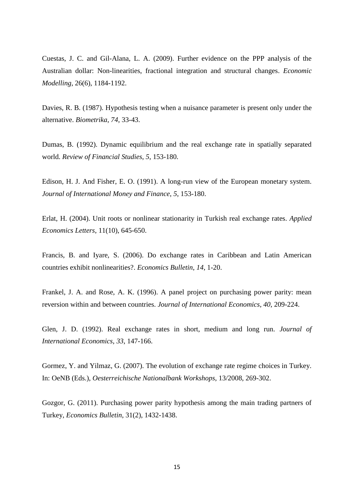Cuestas, J. C. and Gil-Alana, L. A. (2009). Further evidence on the PPP analysis of the Australian dollar: Non-linearities, fractional integration and structural changes. *Economic Modelling*, 26(6), 1184-1192.

Davies, R. B. (1987). Hypothesis testing when a nuisance parameter is present only under the alternative. *Biometrika*, *74*, 33-43.

Dumas, B. (1992). Dynamic equilibrium and the real exchange rate in spatially separated world. *Review of Financial Studies*, *5*, 153-180.

Edison, H. J. And Fisher, E. O. (1991). A long-run view of the European monetary system. *Journal of International Money and Finance*, *5*, 153-180.

Erlat, H. (2004). Unit roots or nonlinear stationarity in Turkish real exchange rates. *Applied Economics Letters*, 11(10), 645-650.

Francis, B. and Iyare, S. (2006). Do exchange rates in Caribbean and Latin American countries exhibit nonlinearities?. *Economics Bulletin*, *14*, 1-20.

Frankel, J. A. and Rose, A. K. (1996). A panel project on purchasing power parity: mean reversion within and between countries. *Journal of International Economics*, *40*, 209-224.

Glen, J. D. (1992). Real exchange rates in short, medium and long run. *Journal of International Economics*, *33*, 147-166.

Gormez, Y. and Yilmaz, G. (2007). The evolution of exchange rate regime choices in Turkey. In: OeNB (Eds.), *Oesterreichische Nationalbank Workshops*, 13/2008, 269-302.

Gozgor, G. (2011). Purchasing power parity hypothesis among the main trading partners of Turkey, *Economics Bulletin*, 31(2), 1432-1438.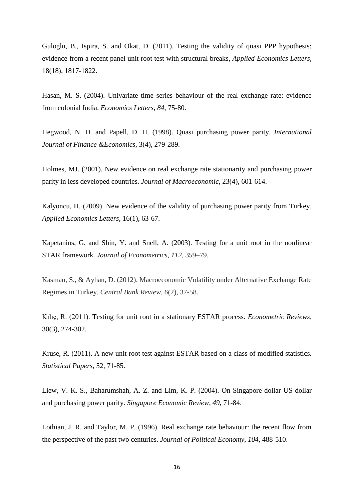Guloglu, B., Ispira, S. and Okat, D. (2011). Testing the validity of quasi PPP hypothesis: evidence from a recent panel unit root test with structural breaks, *Applied Economics Letters*, 18(18), 1817-1822.

Hasan, M. S. (2004). Univariate time series behaviour of the real exchange rate: evidence from colonial India. *Economics Letters*, *84*, 75-80.

Hegwood, N. D. and Papell, D. H. (1998). Quasi purchasing power parity. *International Journal of Finance &Economics*, 3(4), 279-289.

Holmes, MJ. (2001). New evidence on real exchange rate stationarity and purchasing power parity in less developed countries. *Journal of Macroeconomic*, 23(4), 601-614.

Kalyoncu, H. (2009). New evidence of the validity of purchasing power parity from Turkey, *Applied Economics Letters*, 16(1), 63-67.

Kapetanios, G. and Shin, Y. and Snell, A. (2003). Testing for a unit root in the nonlinear STAR framework. *Journal of Econometrics*, *112*, 359–79.

Kasman, S., & Ayhan, D. (2012). Macroeconomic Volatility under Alternative Exchange Rate Regimes in Turkey. *Central Bank Review*, *6*(2), 37-58.

Kılıç, R. (2011). Testing for unit root in a stationary ESTAR process. *Econometric Reviews*, 30(3), 274-302.

Kruse, R. (2011). A new unit root test against ESTAR based on a class of modified statistics. *Statistical Papers*, 52, 71-85.

Liew, V. K. S., Baharumshah, A. Z. and Lim, K. P. (2004). On Singapore dollar-US dollar and purchasing power parity. *Singapore Economic Review*, *49*, 71-84.

Lothian, J. R. and Taylor, M. P. (1996). Real exchange rate behaviour: the recent flow from the perspective of the past two centuries. *Journal of Political Economy*, *104*, 488-510.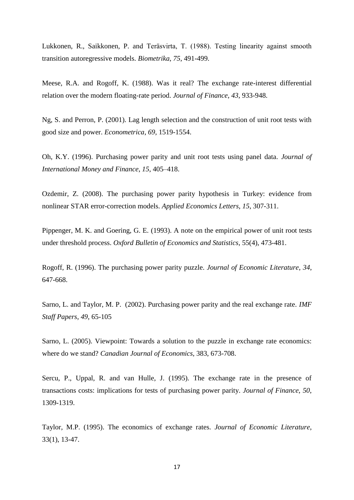Lukkonen, R., Saikkonen, P. and Teräsvirta, T. (1988). Testing linearity against smooth transition autoregressive models. *Biometrika*, *75*, 491-499.

Meese, R.A. and Rogoff, K. (1988). Was it real? The exchange rate-interest differential relation over the modern floating-rate period. *Journal of Finance*, *43*, 933-948.

Ng, S. and Perron, P. (2001). Lag length selection and the construction of unit root tests with good size and power. *Econometrica*, *69,* 1519-1554.

Oh, K.Y. (1996). Purchasing power parity and unit root tests using panel data. *Journal of International Money and Finance*, *15*, 405–418.

Ozdemir, Z. (2008). The purchasing power parity hypothesis in Turkey: evidence from nonlinear STAR error-correction models. *Applied Economics Letters*, *15*, 307-311.

Pippenger, M. K. and Goering, G. E. (1993). A note on the empirical power of unit root tests under threshold process. *Oxford Bulletin of Economics and Statistics*, 55(4), 473-481.

Rogoff, R. (1996). The purchasing power parity puzzle. *Journal of Economic Literature*, *34*, 647-668.

Sarno, L. and Taylor, M. P. (2002). Purchasing power parity and the real exchange rate. *IMF Staff Papers*, *49*, 65-105

Sarno, L. (2005). Viewpoint: Towards a solution to the puzzle in exchange rate economics: where do we stand? *Canadian Journal of Economics*, 383, 673-708.

Sercu, P., Uppal, R. and van Hulle, J. (1995). The exchange rate in the presence of transactions costs: implications for tests of purchasing power parity. *Journal of Finance*, *50*, 1309-1319.

Taylor, M.P. (1995). The economics of exchange rates. *Journal of Economic Literature*, 33(1), 13-47.